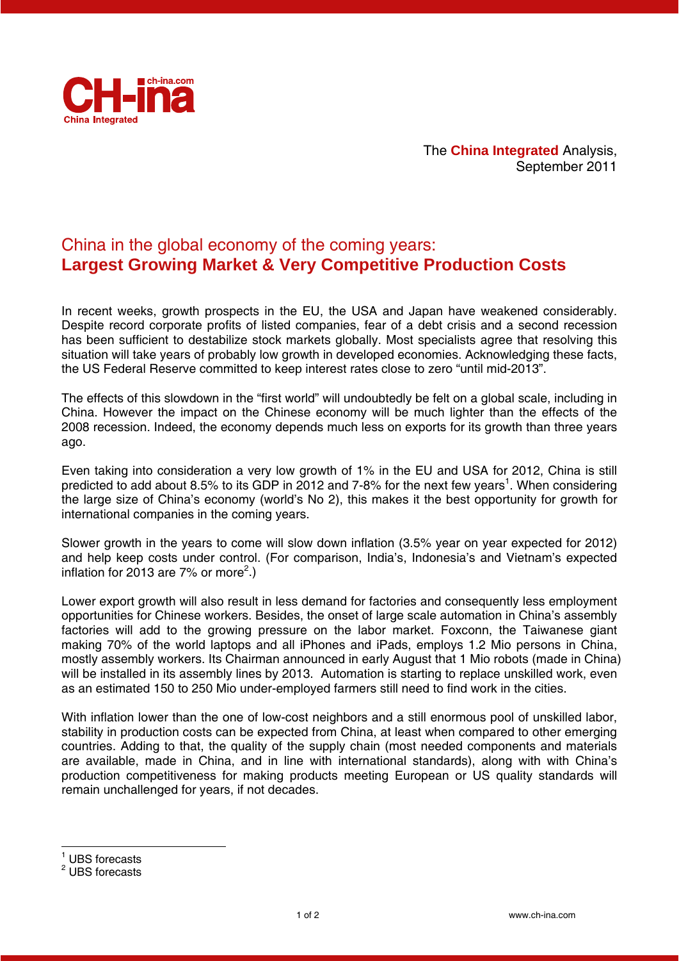

## China in the global economy of the coming years: **Largest Growing Market & Very Competitive Production Costs**

In recent weeks, growth prospects in the EU, the USA and Japan have weakened considerably. Despite record corporate profits of listed companies, fear of a debt crisis and a second recession has been sufficient to destabilize stock markets globally. Most specialists agree that resolving this situation will take years of probably low growth in developed economies. Acknowledging these facts, the US Federal Reserve committed to keep interest rates close to zero "until mid-2013".

The effects of this slowdown in the "first world" will undoubtedly be felt on a global scale, including in China. However the impact on the Chinese economy will be much lighter than the effects of the 2008 recession. Indeed, the economy depends much less on exports for its growth than three years ago.

Even taking into consideration a very low growth of 1% in the EU and USA for 2012, China is still predicted to add about 8.5% to its GDP in 2012 and 7-8% for the next few years<sup>1</sup>. When considering the large size of China's economy (world's No 2), this makes it the best opportunity for growth for international companies in the coming years.

Slower growth in the years to come will slow down inflation (3.5% year on year expected for 2012) and help keep costs under control. (For comparison, India's, Indonesia's and Vietnam's expected inflation for 2013 are 7% or more<sup>2</sup>.)

Lower export growth will also result in less demand for factories and consequently less employment opportunities for Chinese workers. Besides, the onset of large scale automation in China's assembly factories will add to the growing pressure on the labor market. Foxconn, the Taiwanese giant making 70% of the world laptops and all iPhones and iPads, employs 1.2 Mio persons in China, mostly assembly workers. Its Chairman announced in early August that 1 Mio robots (made in China) will be installed in its assembly lines by 2013. Automation is starting to replace unskilled work, even as an estimated 150 to 250 Mio under-employed farmers still need to find work in the cities.

With inflation lower than the one of low-cost neighbors and a still enormous pool of unskilled labor, stability in production costs can be expected from China, at least when compared to other emerging countries. Adding to that, the quality of the supply chain (most needed components and materials are available, made in China, and in line with international standards), along with with China's production competitiveness for making products meeting European or US quality standards will remain unchallenged for years, if not decades.

-

<sup>&</sup>lt;sup>1</sup> UBS forecasts

<sup>&</sup>lt;sup>2</sup> UBS forecasts